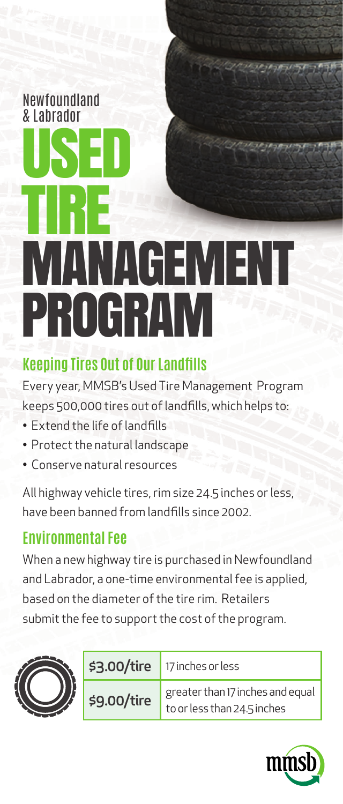#### Newfoundland & Labrador

# USED TIRE **MANAGEMENT** PROGRAM

### **Keeping Tires Out of Our Landfills**

Every year, MMSB's Used Tire Management Program keeps 500,000 tires out of landfills, which helps to:

- Extend the life of landfills
- Protect the natural landscape
- Conserve natural resources

All highway vehicle tires, rim size 24.5 inches or less, have been banned from landfills since 2002.

### **Environmental Fee**

When a new highway tire is purchased in Newfoundland and Labrador, a one-time environmental fee is applied, based on the diameter of the tire rim. Retailers submit the fee to support the cost of the program.



| \$3.00/tire | $\vert$ 17 inches or less                                               |
|-------------|-------------------------------------------------------------------------|
| \$9.00/tire | greater than 17 inches and equal $\vert$<br>to or less than 24.5 inches |